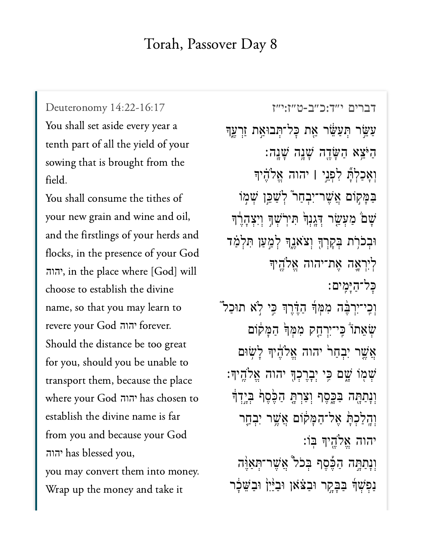$\sqrt{1/221/17}$ 

You shall set aside every year a tenth part of all the yield of your sowing that is brought from the  $\frac{1}{2}$  shall consume the title title title shall consume the title shall consume that the title shall consume the title shall consumer that  $\frac{1}{2}$ 

 $y \sim 11$  new  $y \sim 1$ ,  $y \sim 1$ your new grain and wine and oil, and the firstlings of your herds and flocks, in the presence of your God  $\frac{1}{\sqrt{2}}$  to establish the divine  $\frac{1}{\sqrt{2}}$ יהוה choose to establish the divine name, so that you may learn to  $\overline{S}$  the distance between  $\overline{S}$ יהוה for  $\frac{1}{2}$  you be unable to the unit of  $\frac{1}{2}$  you be unable to  $\frac{1}{2}$ for you, should you be unable to transport them, because the place establish the divine name is far the divine name is far the divine name is far the divine name is far the divi<br>The divine name is far the divine name is far the divine name is far that the divine the divine name is far th יהוה establish the divine name is far from you and because your God  $\sim$  11 money. יהוה you may convert them into money. Wrap up the money and take it

[דברים י״ד:כ״ב-ט״ז:י״ז](https://www.sefaria.org/Deuteronomy%2014:22-16:17) 14:22-16:17 Deuteronomy ַעֲשֵׂר תְּעַשֵּׂ֫ר אֵת כָּל־תְּבוּאַת זַרְעֵד ָה<sup>ַ</sup>ּיְצֵא הַשָּׂדֵה שָׁנָָה: וְאַכַלְתָّ לִפְנֵי l יהוה אֱלֹהֶיִד ַבְּמַקוֹם אֲשֶׁר־יִבְחַר ּלְשַׁבֵּוְ שְׁמִוֹ ְּשׁם מַעָּשָׂר דְּגֲנְךָ תְּיִרְשָׁךָ וְיִצְהָרֶךְ וּבְכֹרְת בְּקָרְךָּ וְצֹאוֶדֶךְ לְמַעַן תְּלְמַ<mark>ֹ</mark>ד לִירְאֲה אֶת־יהוה אֱלֹהֵיך כַל־הַיָּמֵים: וְכֵי־יִרְבֶּ֫ה מִמְּֽד הַדֶּ֫רֶךְ כֵּ֣י לְא תוּכַל ֿ שִׂאֵתוֹ כֵּי־יִרְהַק מְמִּךְ הַמַּקוֹם אֲשֵׁר יִבְחַרׂ יהוה אֱלֹהֶיִךְ לָשְׂוּם ֹשְׁמְוֹ שָׁם כִּי יִבְרֵכְךָּ יהוה אֱלֹהֵיךָ: וְנָתַהָה בַּבֶּסֶף וְצַרְתָּ הַכֶּסֶף בְּיָדָ<del>ן</del> וְהָלַכְתָּ אֱל־הַמָּקוֹם אֲשֵׁר יִבְחֱר יהוה אֱלֹהֵיךְּ בִּוֹ: וְנָתַתֶּה הַכֶּ֫סֶף בִּכֹל אֲשֶׁר־תִאֲיֶּה ַנַפְשָׁךָ בַּבָּקֶר וּבַצֹּאוָ וּבַיָּיִן וּבַשֵּׁבָר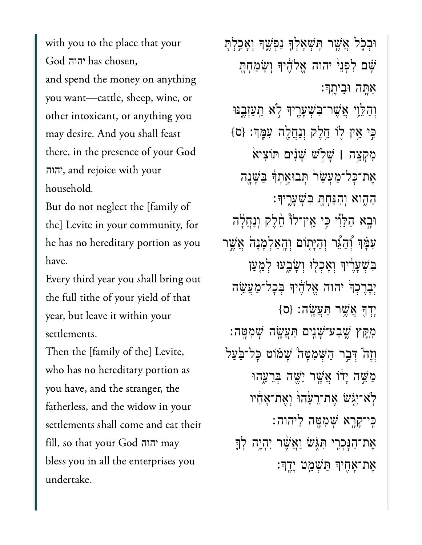God יהוה has chosen, God יהוה has chosen, and spend the money on anything you want—cattle, sheep, wine, or other intoxicant, or anything you may desire. And you shall feast there, in the presence of your God  $\frac{1}{2}$ יהוה household.

 $\begin{array}{ccc} \mathbf{D} & \mathbf{1} & \mathbf{1} & \mathbf{1} & \mathbf{1} & \mathbf{1} & \mathbf{1} & \mathbf{1} & \mathbf{1} & \mathbf{1} & \mathbf{1} & \mathbf{1} & \mathbf{1} & \mathbf{1} & \mathbf{1} & \mathbf{1} & \mathbf{1} & \mathbf{1} & \mathbf{1} & \mathbf{1} & \mathbf{1} & \mathbf{1} & \mathbf{1} & \mathbf{1} & \mathbf{1} & \mathbf{1} & \mathbf{1} & \mathbf{1} & \mathbf{1} & \mathbf{1} & \mathbf$ the] Levite in your community, for he has no hereditary portion as you  $\mathbf{E}$ 

Every third year you shall bring out  $y = \frac{1}{2}$   $\frac{1}{2}$   $\frac{1}{2}$   $\frac{1}{2}$   $\frac{1}{2}$   $\frac{1}{2}$   $\frac{1}{2}$   $\frac{1}{2}$   $\frac{1}{2}$   $\frac{1}{2}$   $\frac{1}{2}$   $\frac{1}{2}$   $\frac{1}{2}$   $\frac{1}{2}$   $\frac{1}{2}$   $\frac{1}{2}$   $\frac{1}{2}$   $\frac{1}{2}$   $\frac{1}{2}$   $\frac{1}{2}$   $\frac{1}{2}$   $\frac{1}{2}$ year, but leave it within your  $\frac{1}{\sqrt{2}}$ 

Then the [family of the] Levite, who has no hereditary portion as you have, and the stranger, the fatherless, and the widow in your settlements shall come and eat their  $\begin{array}{ccc} \text{out} & 1 & \text{out} \\ \text{out} & 1 & \text{out} \end{array}$ יהוהbless you in all the enterprises you undertake.

ֿוּבְכָל אֲשֶׁר תִּשְׁאָלְךָּ נַפְשֶׁךָּ וְאָכִלְתָ ְשָׁם לְפָנֵי יהוה אֱלֹדֶוּדְ וְשָׂמַחְתָּ ּאָתָּה וּבִיְתֵךּ: וְהַלֵּוִי אֲשֵׁר־בִּשְׁעָרֵיךָ לְא תַעַזְבֵנּוּ ַּכִּי אֵין לְוֹ חֱלֵק וְנַחֲלֶה עִמֶּךְ: {ס} ִמְקֵ֣צה **׀** ָׁשֹ֣לׁש ָׁשִ֗נים ּתֹוִצי֙א ָאֶת־כָּל־מַעָּשַׂר הְּבוּאֲתְדָּ בַּשָּׁנֶה ַהִ֑הוא ְוִהַּנְחָּ֖ת ִּבְׁשָעֶֽריָך׃ ּוָ֣בא ַהֵּלִ֡וי ִּ֣כי ֵֽאין־לֹ֩ו ֵ֨חֶלק ְוַנֲחָ֜לה ַעִּמְּךְ וְהַיָּתְוֹם וְהָאֲלְמָנָה אֲשֶׁר בְּשָׁעֲרִיִּךְ וְאֲכָלִוּ וְשָׂבֵעוּ לְמַעַן יִבְרֵכְךְ יהוה אֱלֹהֶ֫יִךְ בִּכָל־מַעֲשֶׂה  $\{O\}$  :יִדְךָ אֲשֶׁר הַעֲשֶׂה ּמְקֵּץ שֶׁבַע־שָׁנִים תַּעֲשֶׂה שָׁמְטֵּה: וְזֶה יִּבְר הַשִּׁמְטַה שַׁמֹוֹט כָּל־בַּעַל ַמַּּשֵׁה יָדֹו אֲשֶׁר יַשֶּׁה בְּרֵעֶּהוּ ּלְׂא־יְגִּשׁ אֵת־רֵעֲהוּׂ וְאֶת־אַחָיו ּכִּי־קָרֶא שְׁמִטֶּה לַיהוה: ּאֶת־הַנָּכְרֵי תִּגְּשׂ וַאֲשֶׁר יְהָיֵה לְדֶ ָאֶת־אָחִיךָּ תַּשָּׁמֵט יָיֶךְ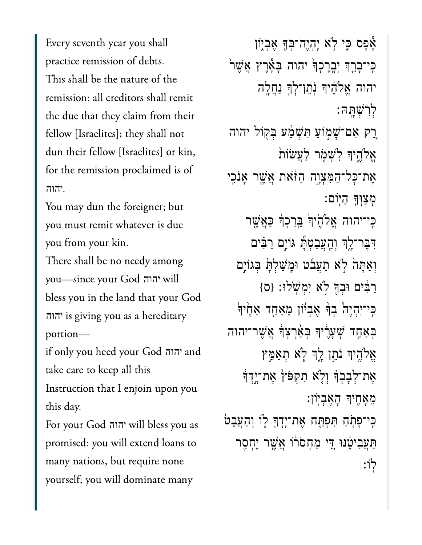Every seventh year you shall practice remission of debts. This shall be the nature of the remission: all creditors shall remit the due that they claim from their fellow [Israelites]; they shall not dun their fellow [Israelites] or kin, for the remission proclaimed is of יהוה.

You may dun the foreigner; but you must remit whatever is due you from your kin.

There shall be no needy among you-since your God יהוה will bless you in the land that your God הוה is giving you as a hereditary portion-

if only you heed your God יהוה take care to keep all this

Instruction that I enjoin upon you this day.

For your God יהוה will bless you as promised: you will extend loans to many nations, but require none yourself; you will dominate many

אֵפֵּס כֵּי לְא יֶהָיֵה־בִּךְּ אֵבְיָוֹן כִּי־בָרֵךְ יִבְרֶכְךָּ יהוּה בָּאֶרֶץ אֲשֶׁר יהוה אֱלֹהֶיךָ נְתֲן־לְךָ נַתֲלֵה לִרְשָׁתַּה: רָק אִם־שָׁמְוֹעַ תִּשְׁמַׁעַ בִּקְוֹל יהוה אֱלֹהֵיךְּ לְשָׁמָׂר לַעֲשׂוֹת אֶת־כָּל־הַמִּצְוֶה הַזֹּאת אֲשֱר אָנֹכֵי מצוד היום: כִּי־יהוה אֱלֹהֶׂיּךָּׂ בֵּרַכְךָׂ כַּאֲשֶׁר דִּבֶּר־לֶךְ וְהָעֲבַטְתָּ גּוֹיִם רַבִּים וְאַתָּהֹ לְא תַעֲבֹט וּמֶשַׁלְתָּ בְּגוֹיֵם רַבִּים וּבְךָּ לְא יִמְשֹׁלוּ: {ס} כֵּי־יִהְיֵה בְרָּ אֲבִיוֹן מֵאֲחֲד אַחֱיִרְּ בִּאֲחֲד שָׁעֲרֶיךָ בְּאֲרָצְךָ אֲשֶׁר־יִהוּה אֱלֹהֵיךְ נֹתֵן לֵךְ לְא תִאֲמֵץ אֵת־לִבָּבְךָּ וְלָא תִקְפֹּץׂ אֶת־יְדֶךְ מאחיד האביון: כִּי־פְתָׂחַ תִּפְתֵּח אֶת־יָדְךָּ לְוֹ וְהַעֲבֵטֹּ תַּעֲבִיטֶּׁנּוּ דֵי מַחָסֹרוֹ אֲשֶׁר יֵחָסֶר לוֹ: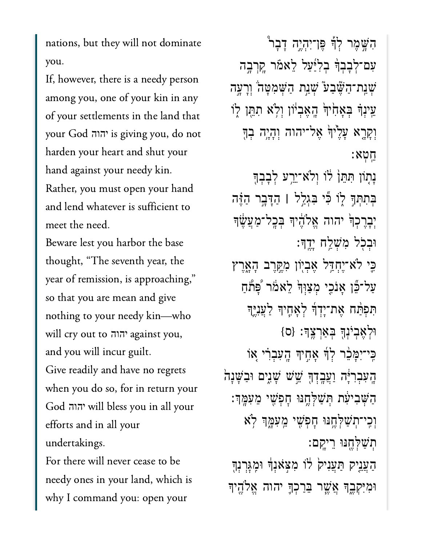nations, but they will not dominate If, however, there is a needy person

If, however, there is a needy person among you, one of your kin in any your God is giving you, do notharden your heart and shut your heart and shut your heart and shut your heart and shut your heart and shut your heart and  $\sim$ harden your heart and shut your יהוה hand against your needy kin. Rather, you must open your hand and lend whatever is sufficient to meet the need.

Beware lest you harbor the base thought, "The seventh year, the year of remission, is approaching," so that you are mean and give nothing to your needy kin-who and  $\overline{y}$  in  $\overline{y}$  in  $\overline{y}$  in  $\overline{y}$ יהוה and you will incur guilt. Give readily and have no regrets when you do so, for in return your  $\epsilon$  1  $\epsilon$  and in all 1 efforts and in all your יהוה undertakings.

For there will never cease to be needy ones in your land, which is why I command you: open your

ִהָּׁ֣שֶמר ְלָ֡ך ֶּפן־ִיְהֶ֣יה ָדָב֩ר ִעם־ְלָבְבָ֨ך ְבִלַּ֜יַעל ֵלאֹ֗מר ָֽקְרָ֣בה ּשְׁנַת־הַשֶּׁבַע<sup>ָ</sup> שְׁנַת הַשְּׁמִטָּה וְרָעָה ּעֵינְךָּ בְּאָחִ<sup>ׂי</sup>וְּ הֱאֶבְיֹוֹן וְלִא תִתֵּ֣ן לְוֹ וְקָרָא עָלֵ<sup>יֹ</sup>וְדְּ אֲל־יהוה וְהָיָה בְדְּ ֵֽחְטא׃ ּנָתְוֹן תִּתֵּן לֹו וְלֹא־יֵרֵע לְבָבְךָ ּבִּתְתְּךָּ לְוֹ בְּי בְּגָלֵ<sup>ּ</sup>ל | הַדָּבֵר הַזֶּה יִבְרֶכְךָ יהוה אֱלֹהֶיךָ בְּכָל־מַעֲשֶׂךָ  $\colon$ וְבִבְל מְּשָׁלֵֵח יָדֱךָ ְכֵּי לֹא־יֶחָדֵל אֶבְיִון מְקֵרֵב הָאֲרֵץ ַעַל־בֶּֿן אָנֹכִי מִצַוְּדְּ לֵאמֹר ْפָּתֹחַ תִּפְתַּٰח אֵת־יָדְךָ לְאָחֶיךָ לַעֲנֶיֵךָ ּוְלֶאְבֹיְנָ֖ך ְּבַאְרֶֽצָך׃ }ס{ ַּכִּי־יִמָּבֶ֫ר לְךָּ אָחֶיךָ הָעָבְרִי אָוֹ ֿהָעִבְרִיָּּה וַעֲבְדָךְּ שֵׁשׁ שָׁגִים וּבַשָּׁנָה ָהַשָּׁבִיעָׂת הְּשַׁלְחֱנּוּ חָפִשִּׁי מֵעָמֶּךְ וְכִי־תִשָּׁלְחֱנּוּ חָפִשִּׁי מֵעְמֶֽךְ לְא ְתַׁשְּלֶ֖חּנּו ֵריָֽקם׃ הַעֲנֵיק הַעֲנִיק לֹוֹ מִצְאֹנְךָٔ וּמְגָּרְנִךְ ּוִמִּיְקֶ֑בָך ֲאֶׁ֧שר ֵּבַרְכָ֛ך יהוה ֱאֹלֶ֖היָך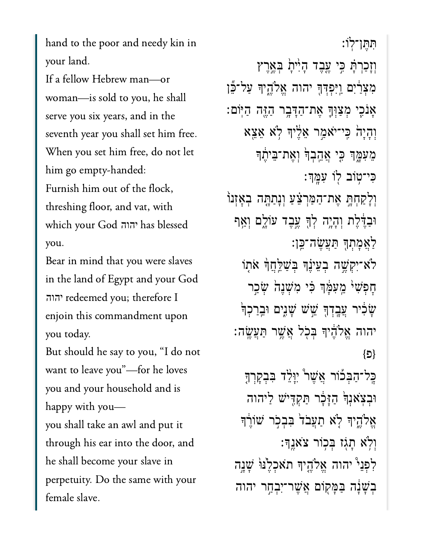hand to the poor and needy kin in your land.

If a fellow Hebrew man-or woman—is sold to you, he shall serve you six years, and in the seventh year you shall set him free. When you set him free, do not let him go empty-handed: Furnish him out of the flock, threshing floor, and vat, with which your God יהוה has blessed you.

Bear in mind that you were slaves in the land of Egypt and your God הוה redeemed you; therefore I enjoin this commandment upon you today.

But should he say to you, "I do not want to leave you"-for he loves you and your household and is happy with youyou shall take an awl and put it through his ear into the door, and he shall become your slave in perpetuity. Do the same with your female slave.

תתן־לו: וְזָכַרְתָּׁ כִּי עֱבֶד הָיִּיתָׂ בְּאֱרֶץ מִצְרַׂיִם וַיִּפְדְּךָ יהוה אֱלֹהֱיִךְ עַל־בֶּן אָנֹכֵי מִצַּוְךָ אֵת־הַדָּבֶר הַזֶּה הַיּוֹם: וְהָיָהֹ כִּי־יֹאמַר אֵלֶּיךָ לְא אֵצֵא מֵעִּמֶּךְ כֵּי אֲהֵבְךָּ וְאֶת־בֵּיהֶ֫ךְ כִּי־טְוֹב לְוֹ עָמֲךָ: וִלַקַחִתָּ אֶת־הַמַּרְצֵּעַ וְנְתַתֱה בְאָזְנוֹ וּבְדֶּלֵת וְהָיָה לְךָּ עֵבֶד עוֹלֵם וְאֵף לַאֲמַתְךָ תַּעֲשֶׂה־כֵּן: לֹא־יִקִשֶׁה בְעֵינֶ<mark>ךְ בְּשַׁלֵּחֲ</mark>ךָ אֹתָוֹ חַפִּשְׁי מֵעְמֵ֫ךְ כִּי מִשְׁנֵה שָׂכֵר ּשֵׂכִּיר עֲבָדְךָ שֵׁשׁ שָׁגָים וּ<u>בְר</u>ַכְךָ ֿ יהוה אֱלֹהֶיךָ בִּכְל אֲשֱר תַּעֲשֶׂה: {פ} כֶּל־הַבְּכוֹר אֲשֶׁר יִיֲלֵד בִּבְקָרְךָּ וּבְצְאוָרְ הַזַּכָּר תַּקְדִּישׁ לַיהוה אֱלֹהֶיךָּ לְאׁ תַעֲבֹד בִּבְבִר שׁוֹרֶךְ וְלָא תַגָּז בְּכְוֹר צֹאוֵךְ: לִפְנֵי יהוה אֱלֹהֵיךָ תֹאכִלֵּנוּ שָׁנֵה בְשָׁנָה בַּמַּקִוֹם אֲשֶׁר־יָבְחֵר יהוה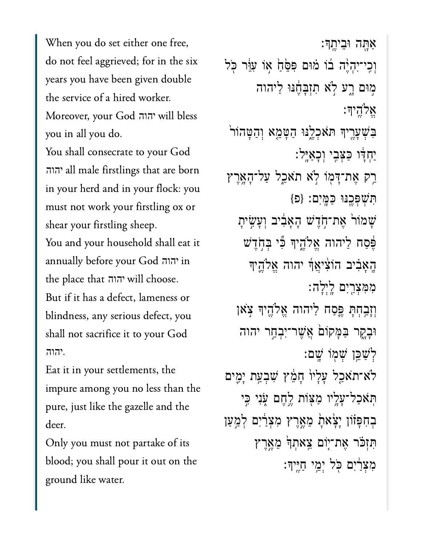When you do set either one free, do not feel aggrieved; for in the six years you have been given double the service of a hired worker.  $\overline{y}$ יהוה  $\ddot{\textbf{y}}$  shall consecrate to your God shall consecrate to your God shall consecrate to your God shall consecrate to your God shall consecrate the secret of  $\ddot{\textbf{y}}$ 

You shall consecrate to your God הוה all male firstlings that are born in your herd and in your flock: you must not work your firstling ox or shear your firstling sheep. eat it  $\begin{array}{ccc} \text{A} & \text{B} & \text{C} & \text{A} \\ \text{B} & \text{C} & \text{D} & \text{A} & \text{A} & \text{A} & \text{A} \\ \end{array}$ the place that will choose.יהוה יהוה  $\mathbf{B} = \mathbf{B} \mathbf{B}$ But if it has a defect, lameness or blindness, any serious defect, you shall not sacrifice it to your God יהוה Eat it in your settlements, the

Eat it in your settlements, the impure among you no less than the pure, just like the gazelle and the  $\overline{a}$  y or part at part and part at part and part at part at part at part at part at part at part at part at part at part at part at part at part at part at part at part at part at part at part at part at part at part its

 $\begin{array}{ccc} \textcirc & \textcirc & \textcirc \\ \textcirc & \textcirc & \textcirc \\ \textcirc & \textcirc & \textcirc \end{array}$ blood; you shall pour it out on the ground like water.

ַאַתָּה וּבֵיתֵךּ: וְכִי־יִהְיֶה בוֹ מֹוּם פִּפֵּׂחַ אֲוֹ עָוֵּ֫ר כְּל מִוּם רֵע לֹא תִזְבָּחֶנּוּ לַיהוה ֱאֹלֶֽהיָך׃ בִּשְׁעָרֵיךָ ת**ֹּא**כְלֵנּוּ הַטָּמֵא וְהַטֲהוֹר ַיִּחְדָּ֫ו כַּצִּבִי וְכָאַיֵּל׃ רַק אֶת־דָּמְוֹ לִא תֹאַכֵל עַל־הָאָרֶץ ִּתְׁשְּפֶ֖כּנּו ַּכָּֽמִים׃ }פ{ ָשׁמוֹר אָת־חָדֶשׁ הָאַבְוּב וְעַשִׂית ֶּפֶּׁסַח לַיהוה אֱלֹהֵיִךְ ּבְִّי בִּחְדֵשׁ ָֽהָאִ֗ביב הֹוִ֨ציֲאָ֜ך יהוה ֱאֹלֶ֛היָך ִמִּמְצַ֖רִים ָֽלְיָלה׃ וְזַבְחָתָ פֵּסַח לַיהוה אֱלֹהֶיִךְ צָאן ּוָבָ֑קר ַּבָּמקֹו֙ם ֲאֶׁשר־ִיְבַ֣חר יהוה ְלַׁשֵּ֥כן ְׁש֖מֹו ָֽׁשם׃ לֹא־תֹאַכַל עָלָיוֹ חָמֶץ שִׁבְעַת יָמֶים ֿתְּאֹכַל־עָלֶיו מַצְּוֹת לֵחֶם עָׂנִי כִּי ּבְחִפְּזֹון יָצָׂאתָׂ מֵאֱרֶץ מִצְרַׂיִם לְמַעַן ִּתְזֹּ֗כר ֶאת־֤יֹום ֵֽצאְתָ֙ך ֵמֶ֣אֶרץ ּמְצְרַיִּם כֹּל יְמֵי חַיֵּיִךְ׃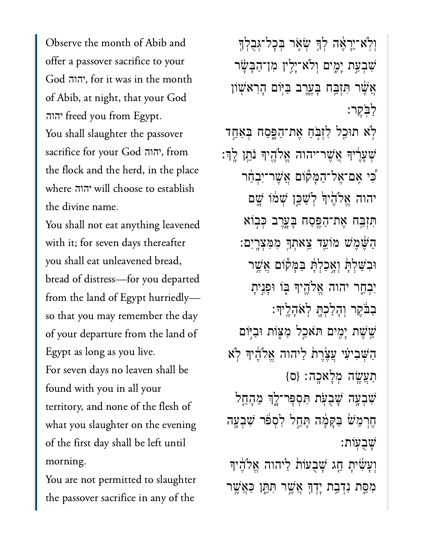Observe the month of Abib and offer a passover sacrifice to your יהוה, for it was in the month  $\overline{C}$  Abib,  $\overline{C}$  , that  $\overline{C}$  at  $\overline{C}$ יהוה freed you from Egypt.  $\frac{1}{2}$  shall see the passover the passover the passover the passover the passover the passover the passover of the passover the passover of the passover of the passover of the passover of the passover of the passover o you shall slaughter the passover<br>sacrifice for your God הוה, from  $\frac{1}{1}$ the flock and the herd, in the place  $t = \frac{1}{\sqrt{1 - \frac{1}{\sqrt{1 - \frac{1}{\sqrt{1 - \frac{1}{\sqrt{1 - \frac{1}{\sqrt{1 - \frac{1}{\sqrt{1 - \frac{1}{\sqrt{1 - \frac{1}{\sqrt{1 - \frac{1}{\sqrt{1 - \frac{1}{\sqrt{1 - \frac{1}{\sqrt{1 - \frac{1}{\sqrt{1 - \frac{1}{\sqrt{1 - \frac{1}{\sqrt{1 - \frac{1}{\sqrt{1 - \frac{1}{\sqrt{1 - \frac{1}{\sqrt{1 - \frac{1}{\sqrt{1 - \frac{1}{\sqrt{1 - \frac{1}{\sqrt{1 - \frac{1}{\sqrt{1 - \frac{1}{\sqrt{$ יהוה יהוה the divine name.

You shall not eat anything leavened with it; for seven days thereafter you shall eat unleavened bread, bread of distress—for you departed from the land of Egypt hurriedlyso that you may remember the day  $\begin{array}{ccc} \circ & \circ & \circ \\ \circ & \circ & \circ \end{array}$ Egypt as long as you live. For seven days no leaven shall be found with you in all your  $\frac{1}{2}$  you slaughter on the evening slaughter on the evening slaughter on the evening slaughter on the evening slaughter  $\frac{1}{2}$ what you slaughter on the evening of the first day shall be left until You are not permitted to slaughter

You are not permitted to slaughter the passover sacrifice in any of the

וְלְא־יֵרְאֶה לְךָּ שְׂאָר בְּכָל־גְּבֻלְךָ ִׁשְבַ֣עת ָיִ֑מים ְוֹלא־ָיִ֣לין ִמן־ַהָּבָׂ֗שר אֲשֶׁר תְּזָבֵּח בַּעֱרֶב בַּיִּּוֹם הָרָאֹשָׁוֹן ַלֹּֽבֶקר׃ ֹ֥לא תּוַ֖כל ִלְזֹּ֣בַח ֶאת־ַהָּ֑פַסח ְּבַאַ֣חד ְׁשָעֶ֔ריָך ֲאֶׁשר־יהוה ֱאֹלֶ֖היָך ֹנֵ֥תן ָֽלְך׃ ִּ֠כי ִֽאם־ֶאל־ַהָּמ֞קֹום ֲאֶׁשר־ִיְבַ֨חר יהוה אֱלֹהֶׂיךָ לְשַׁבֵּן שְׁמֹוֹ שֵׁם ִּתְזַּ֥בח ֶאת־ַהֶּ֖פַסח ָּבָ֑עֶרב ְּכ֣בֹוא ַהֶּׁ֔שֶמׁש מֹוֵ֖עד ֵֽצאְתָ֥ך ִמִּמְצָֽרִים׃ ּוִבַּׁשְלָּ֙ת ְוָ֣אַכְלָּ֔ת ַּבָּמ֕קֹום ֲאֶׁ֥שר יְבְחֲר יהוה אֱלֹהֵיךְ בִּוֹ וּפַּנֵיתַ ַבְּבֵּקֶר וְהָלָכְתָּ לְאֹהָלֵיִךָּ: ְשֵׁשֵׁת יָמִים תּאַבַל מַצְוֹת וּבִיּֽוֹם הִשָּׁבִיעִי עֲצֶרֵת ליהוה אֱלֹהֶיִךְ לְא  ${0}$ תַעֲשֶׂה מְלַאכַה: {ס ְשְׁבְעָה שָׁבְעָת תִּסְפַּר־לֵךְ מֵהָחֱל ֶחְרֵמׁ֙ש ַּבָּקָ֔מה ָּתֵ֣חל ִלְסֹּ֔פר ִׁשְבָ֖עה ָׁשֻבֽעֹות׃ וְעָ*ּשִׂיּתְ חָג שֶׁבְעוֹת ליהוה אֱלֹהֶי*ךָ ִמַּ֛סת ִנְדַ֥בת ָיְדָ֖ך ֲאֶׁ֣שר ִּתֵּ֑תן ַּכֲאֶׁ֥שר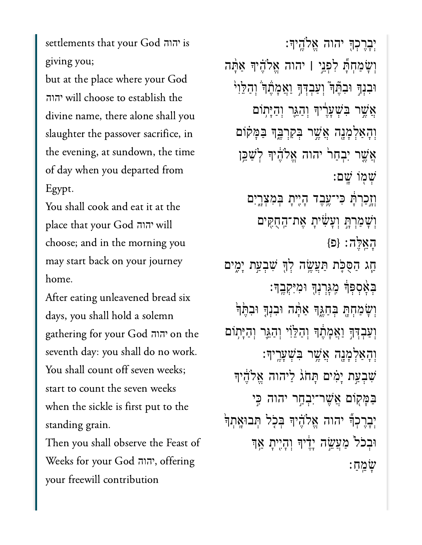settlements that your God יהוה giving you;

but at the place where your God הוה will choose to establish the divine name, there alone shall you slaughter the passover sacrifice, in the evening, at sundown, the time of day when you departed from Egypt.

You shall cook and eat it at the place that your God יהוה choose; and in the morning you may start back on your journey home.

After eating unleavened bread six days, you shall hold a solemn gathering for your God יהוה on the seventh day: you shall do no work. You shall count off seven weeks; start to count the seven weeks when the sickle is first put to the standing grain.

Then you shall observe the Feast of Weeks for your God יהוה, offering your freewill contribution

יִבְרֶכְךָּ יהוה אֱלֹהֵיךָ: וְשָׂמַחִתָּ לְפְנֵי | יהוה אֱלֹהֵיךָ אַתָּה <u> וּבִנְךָ וּבִהֶּ</u>ךְ וְעַבְדְךָ וַאֲמָהֶדֹ וְהַלֵּוִי אֲשֵׁר בִּשְׁעַרֵיׁךּ וְהַגֵּר וְהַיָּתְוֹם וְהָאַלְמָנֶה אֲשֶׁר בְּקִרְבֵּךְ בַּמָּקוֹם אֲשֱר יִבְחַרֹ יהוה אֱלֹהֶיךָּ לְשַׁבֵּן שְׁמְוֹ שֵׁם: וַזֵכַרִתָּׁ כִּי־עֶבֶד הָיֶיתָ בְּמִצְרֱיִם וִשָּׁמַרְתָּ וְעָשִׂיתָ אֶת־הַחָקִים האלה: {פּ} ְחָג הַסֻּכָּת תַּעֲשֶׂה לְךָּ שִׁבְעַת יְמֶים בִּאָּסִפְּךָׁ מְגַּרִנְךָ וּמִיִּקְבֶךָ: וִשָּׂמַחִתְ בִּחַגֵּךְ אַמָּה וּבִנְךָ וּבִתֵּֽוּ וְעַבְדִךְ וַאֲמָתֵר וְהַלֵּוִי וְהַגֵּר וְהַיָּתְוֹם וְהַאַלְמַנָה אֲשֶׁר בִּשְׁעַרֵיךָ: שִׁבְעַת יְמִים תְּחֹג לַיהוה אֱלֹהֶיךּ בַּמָּקְוֹם אֲשֶׁר־יִבְח<del>ַ</del>ר יהוה כִּי יְבָרֶכְךָّ יהוה אֱלֹהֶיךָּ בְּכָל תְּבוּאֲתְךָּ וּבְכֹל מַעֲשֱה יְדֶיךָ וְהָיֶיתָ אֲךָ שמח: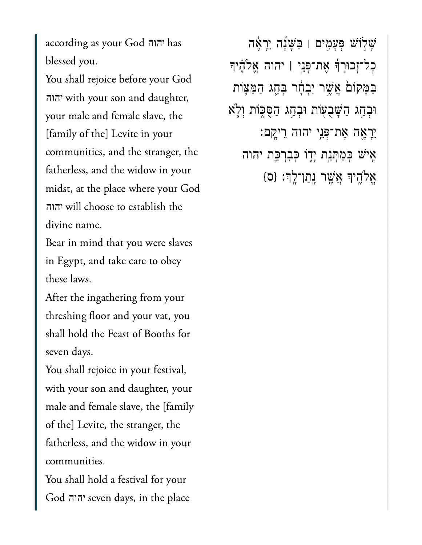יהוה has blessed you.blessed you.

You shall rejoice before your God  $\frac{1}{2}$  male slave, the female slave slave slave slave slave slave slave slave slave slave slave slave slave slave slave slave slave slave slave slave slave slave slave slave slave slave slave slave slave slave slave sl your male and female slave, the [family of the] Levite in your communities, and the stranger, the fatherless, and the widow in your midst, at the place where your God  $\frac{1}{2}$  name.  $\frac{1}{2}$  1.1 יהוה יהוה divine name.

Bear in mind that you were slaves in Egypt, and take care to obey these laws.

After the ingathering from your threshing floor and your vat, you shall hold the Feast of Booths for seven days.

You shall rejoice in your festival, with your son and daughter, your male and female slave, the [family of the] Levite, the stranger, the fatherless, and the widow in your communities.

You shall hold a festival for your יהוה seven days, in the place

ֿשָלְוֹשׁ פְּעָמִים וּ בַּשָּׁנָה יֵרְאֶה ׇכל־ְזכּוְרָ֜ך ֶאת־ְּפֵ֣ני **׀** יהוה ֱאֹלֶ֗היָך ַּבַּמְּקוֹםׂ אֲשֶׁר יִּבְדָוֹר בְּחֶַג הַמַּצָּוֹת וּבְחַג הַשָּׁבָעָוֹת וּבְחַג הַסֻּכְּוֹת וְלָא ֵיָרֶ֛אה ֶאת־ְּפֵ֥ני יהוה ֵריָֽקם׃ אִיֹּשׁ כְּמַתְּנַת יְדָוֹ כְּבִרְכֵַּת יהוה  $\{ \circ \} :$ אֱלֹהֶיךְ אֲשֶׁר נְתַן־לְךָ׃  $\{ \circ \}$